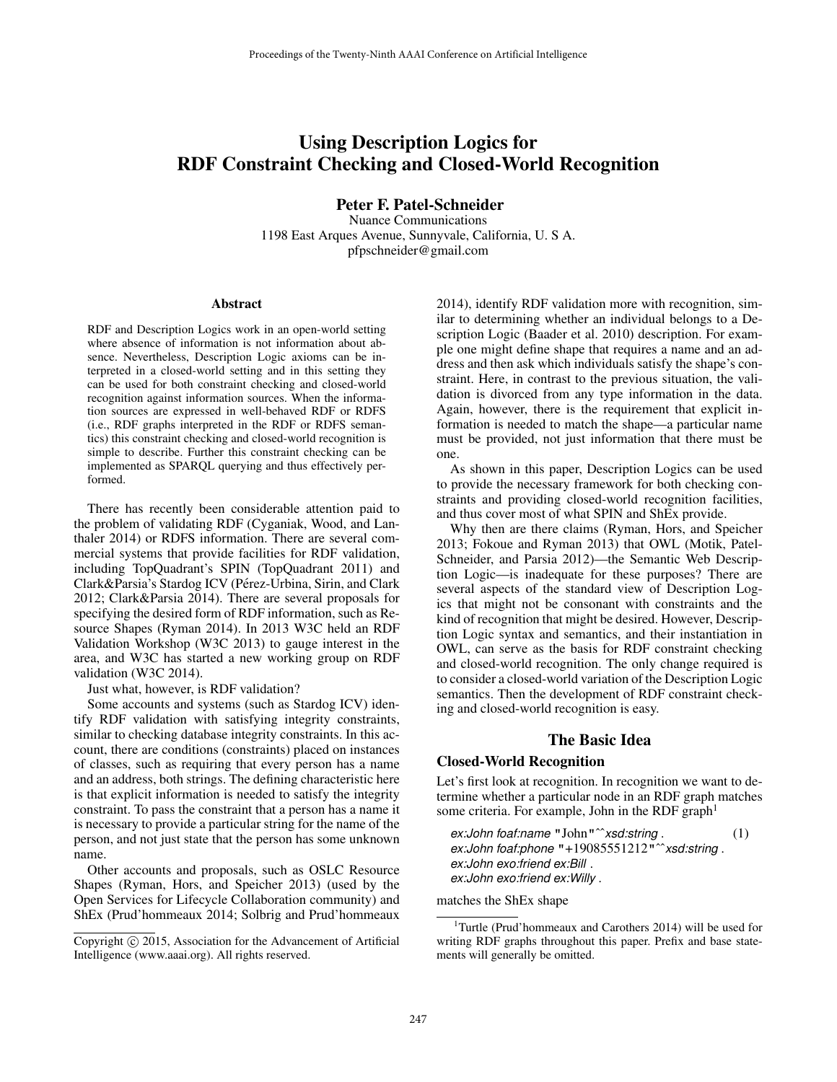# Using Description Logics for RDF Constraint Checking and Closed-World Recognition

Peter F. Patel-Schneider

Nuance Communications 1198 East Arques Avenue, Sunnyvale, California, U. S A. pfpschneider@gmail.com

#### Abstract

RDF and Description Logics work in an open-world setting where absence of information is not information about absence. Nevertheless, Description Logic axioms can be interpreted in a closed-world setting and in this setting they can be used for both constraint checking and closed-world recognition against information sources. When the information sources are expressed in well-behaved RDF or RDFS (i.e., RDF graphs interpreted in the RDF or RDFS semantics) this constraint checking and closed-world recognition is simple to describe. Further this constraint checking can be implemented as SPARQL querying and thus effectively performed.

There has recently been considerable attention paid to the problem of validating RDF (Cyganiak, Wood, and Lanthaler 2014) or RDFS information. There are several commercial systems that provide facilities for RDF validation, including TopQuadrant's SPIN (TopQuadrant 2011) and Clark&Parsia's Stardog ICV (Pérez-Urbina, Sirin, and Clark 2012; Clark&Parsia 2014). There are several proposals for specifying the desired form of RDF information, such as Resource Shapes (Ryman 2014). In 2013 W3C held an RDF Validation Workshop (W3C 2013) to gauge interest in the area, and W3C has started a new working group on RDF validation (W3C 2014).

Just what, however, is RDF validation?

Some accounts and systems (such as Stardog ICV) identify RDF validation with satisfying integrity constraints, similar to checking database integrity constraints. In this account, there are conditions (constraints) placed on instances of classes, such as requiring that every person has a name and an address, both strings. The defining characteristic here is that explicit information is needed to satisfy the integrity constraint. To pass the constraint that a person has a name it is necessary to provide a particular string for the name of the person, and not just state that the person has some unknown name.

Other accounts and proposals, such as OSLC Resource Shapes (Ryman, Hors, and Speicher 2013) (used by the Open Services for Lifecycle Collaboration community) and ShEx (Prud'hommeaux 2014; Solbrig and Prud'hommeaux

2014), identify RDF validation more with recognition, similar to determining whether an individual belongs to a Description Logic (Baader et al. 2010) description. For example one might define shape that requires a name and an address and then ask which individuals satisfy the shape's constraint. Here, in contrast to the previous situation, the validation is divorced from any type information in the data. Again, however, there is the requirement that explicit information is needed to match the shape—a particular name must be provided, not just information that there must be one.

As shown in this paper, Description Logics can be used to provide the necessary framework for both checking constraints and providing closed-world recognition facilities, and thus cover most of what SPIN and ShEx provide.

Why then are there claims (Ryman, Hors, and Speicher 2013; Fokoue and Ryman 2013) that OWL (Motik, Patel-Schneider, and Parsia 2012)—the Semantic Web Description Logic—is inadequate for these purposes? There are several aspects of the standard view of Description Logics that might not be consonant with constraints and the kind of recognition that might be desired. However, Description Logic syntax and semantics, and their instantiation in OWL, can serve as the basis for RDF constraint checking and closed-world recognition. The only change required is to consider a closed-world variation of the Description Logic semantics. Then the development of RDF constraint checking and closed-world recognition is easy.

## The Basic Idea

### Closed-World Recognition

Let's first look at recognition. In recognition we want to determine whether a particular node in an RDF graph matches some criteria. For example, John in the RDF graph<sup>1</sup>

*ex:John foaf:name* "John"ˆˆ*xsd:string* . (1) *ex:John foaf:phone* "+19085551212"ˆˆ*xsd:string* . *ex:John exo:friend ex:Bill* . *ex:John exo:friend ex:Willy* .

#### matches the ShEx shape

<sup>1</sup>Turtle (Prud'hommeaux and Carothers 2014) will be used for writing RDF graphs throughout this paper. Prefix and base statements will generally be omitted.

Copyright (c) 2015, Association for the Advancement of Artificial Intelligence (www.aaai.org). All rights reserved.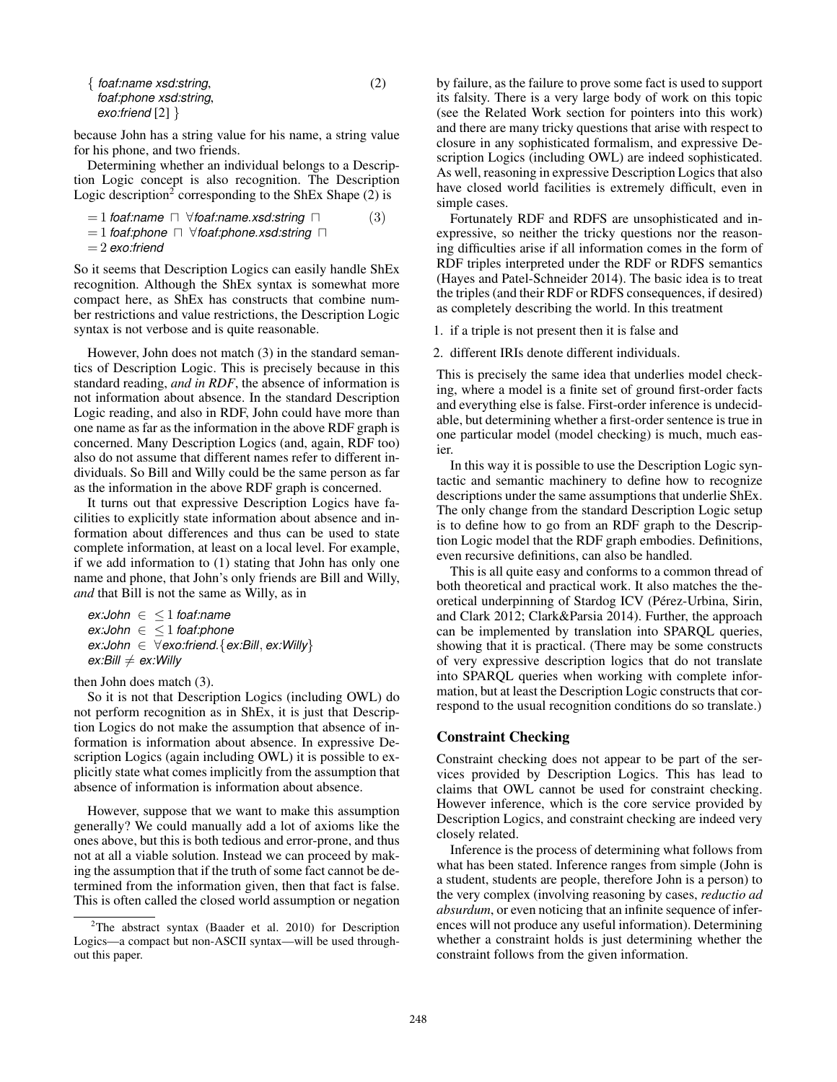| { foaf:name xsd:string, | (2) |
|-------------------------|-----|
| foaf:phone xsd:string,  |     |
| exo:friend $[2]$ }      |     |

because John has a string value for his name, a string value for his phone, and two friends.

Determining whether an individual belongs to a Description Logic concept is also recognition. The Description Logic description<sup>2</sup> corresponding to the ShEx Shape  $(2)$  is

 $= 1$  *foaf:name*  $\Box \forall$  *foaf:name.xsd:string*  $\Box$  (3)

 $= 1$  *foaf:phone*  $\Box$  ∀*foaf:phone.xsd:string*  $\Box$ 

```
= 2 exo:friend
```
So it seems that Description Logics can easily handle ShEx recognition. Although the ShEx syntax is somewhat more compact here, as ShEx has constructs that combine number restrictions and value restrictions, the Description Logic syntax is not verbose and is quite reasonable.

However, John does not match (3) in the standard semantics of Description Logic. This is precisely because in this standard reading, *and in RDF*, the absence of information is not information about absence. In the standard Description Logic reading, and also in RDF, John could have more than one name as far as the information in the above RDF graph is concerned. Many Description Logics (and, again, RDF too) also do not assume that different names refer to different individuals. So Bill and Willy could be the same person as far as the information in the above RDF graph is concerned.

It turns out that expressive Description Logics have facilities to explicitly state information about absence and information about differences and thus can be used to state complete information, at least on a local level. For example, if we add information to (1) stating that John has only one name and phone, that John's only friends are Bill and Willy, *and* that Bill is not the same as Willy, as in

```
ex:John ∈ ≤ 1 foaf:name
ex:John ∈ ≤ 1 foaf:phone
ex:John ∈ ∀exo:friend.{ex:Bill, ex:Willy}
ex:Bill \neq ex:Willy
```
then John does match (3).

So it is not that Description Logics (including OWL) do not perform recognition as in ShEx, it is just that Description Logics do not make the assumption that absence of information is information about absence. In expressive Description Logics (again including OWL) it is possible to explicitly state what comes implicitly from the assumption that absence of information is information about absence.

However, suppose that we want to make this assumption generally? We could manually add a lot of axioms like the ones above, but this is both tedious and error-prone, and thus not at all a viable solution. Instead we can proceed by making the assumption that if the truth of some fact cannot be determined from the information given, then that fact is false. This is often called the closed world assumption or negation by failure, as the failure to prove some fact is used to support its falsity. There is a very large body of work on this topic (see the Related Work section for pointers into this work) and there are many tricky questions that arise with respect to closure in any sophisticated formalism, and expressive Description Logics (including OWL) are indeed sophisticated. As well, reasoning in expressive Description Logics that also have closed world facilities is extremely difficult, even in simple cases.

Fortunately RDF and RDFS are unsophisticated and inexpressive, so neither the tricky questions nor the reasoning difficulties arise if all information comes in the form of RDF triples interpreted under the RDF or RDFS semantics (Hayes and Patel-Schneider 2014). The basic idea is to treat the triples (and their RDF or RDFS consequences, if desired) as completely describing the world. In this treatment

1. if a triple is not present then it is false and

2. different IRIs denote different individuals.

This is precisely the same idea that underlies model checking, where a model is a finite set of ground first-order facts and everything else is false. First-order inference is undecidable, but determining whether a first-order sentence is true in one particular model (model checking) is much, much easier.

In this way it is possible to use the Description Logic syntactic and semantic machinery to define how to recognize descriptions under the same assumptions that underlie ShEx. The only change from the standard Description Logic setup is to define how to go from an RDF graph to the Description Logic model that the RDF graph embodies. Definitions, even recursive definitions, can also be handled.

This is all quite easy and conforms to a common thread of both theoretical and practical work. It also matches the theoretical underpinning of Stardog ICV (Pérez-Urbina, Sirin, and Clark 2012; Clark&Parsia 2014). Further, the approach can be implemented by translation into SPARQL queries, showing that it is practical. (There may be some constructs of very expressive description logics that do not translate into SPARQL queries when working with complete information, but at least the Description Logic constructs that correspond to the usual recognition conditions do so translate.)

## Constraint Checking

Constraint checking does not appear to be part of the services provided by Description Logics. This has lead to claims that OWL cannot be used for constraint checking. However inference, which is the core service provided by Description Logics, and constraint checking are indeed very closely related.

Inference is the process of determining what follows from what has been stated. Inference ranges from simple (John is a student, students are people, therefore John is a person) to the very complex (involving reasoning by cases, *reductio ad absurdum*, or even noticing that an infinite sequence of inferences will not produce any useful information). Determining whether a constraint holds is just determining whether the constraint follows from the given information.

<sup>&</sup>lt;sup>2</sup>The abstract syntax (Baader et al. 2010) for Description Logics—a compact but non-ASCII syntax—will be used throughout this paper.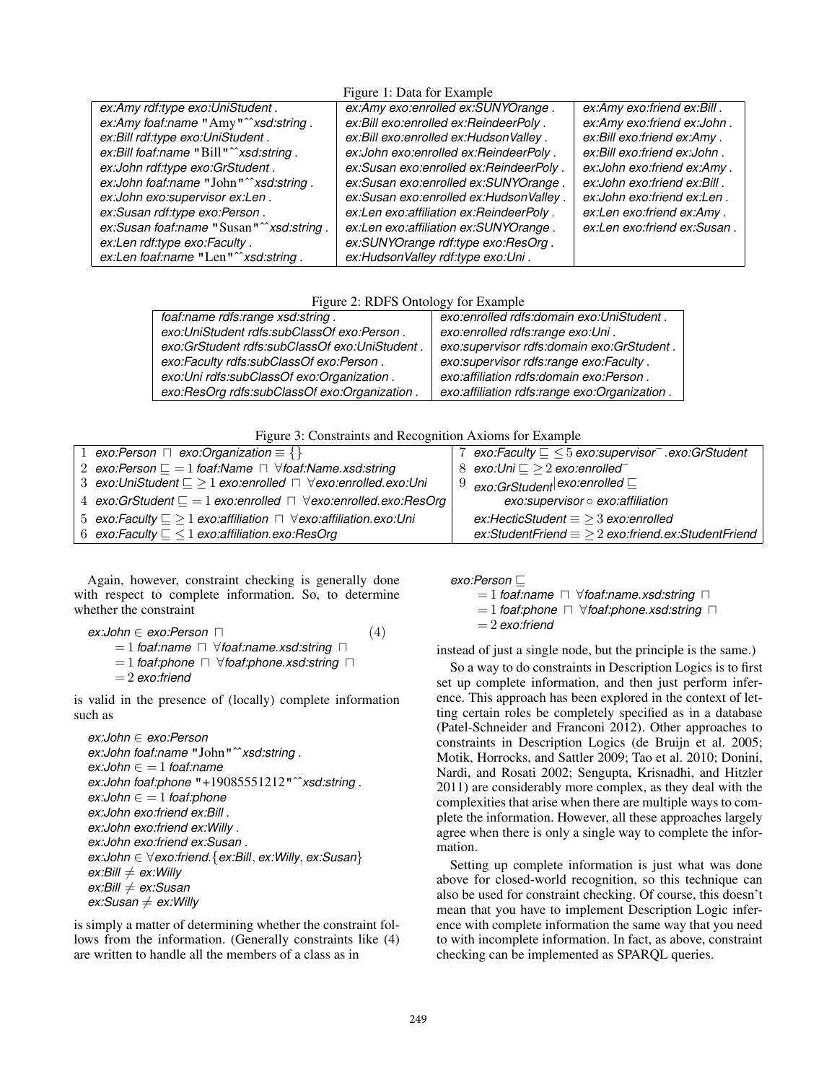### Figure 1: Data for Example

| $1.15$ and $1.1$ $\mu$ and $1.01$ $\mu$ $\mu$ and $\mu$ |                                         |                             |  |  |
|---------------------------------------------------------|-----------------------------------------|-----------------------------|--|--|
| ex:Amy rdf:type exo:UniStudent.                         | ex:Amy exo:enrolled ex:SUNYOrange.      | ex:Amy exo:friend ex:Bill.  |  |  |
| ex:Amy foaf:name "Amy" <sup>**</sup> xsd:string.        | ex:Bill exo:enrolled ex:ReindeerPoly.   | ex:Amy exo:friend ex:John.  |  |  |
| ex:Bill rdf:type exo:UniStudent.                        | ex:Bill exo:enrolled ex:HudsonValley.   | ex:Bill exo:friend ex:Amy.  |  |  |
| ex:Bill foaf:name "Bill" <sup>2</sup> xsd:string.       | ex:John exo:enrolled ex:ReindeerPoly.   | ex:Bill exo:friend ex:John. |  |  |
| ex:John rdf:type exo:GrStudent.                         | ex:Susan exo:enrolled ex:ReindeerPoly.  | ex:John exo:friend ex:Amy.  |  |  |
| ex:John foaf:name "John" <sup>2</sup> xsd:string.       | ex:Susan exo:enrolled ex:SUNYOrange     | ex:John exo:friend ex:Bill. |  |  |
| ex:John exo:supervisor ex:Len.                          | ex:Susan exo:enrolled ex:HudsonValley.  | ex:John exo:friend ex:Len.  |  |  |
| ex:Susan rdf:type exo:Person.                           | ex:Len exo:affiliation ex:ReindeerPoly. | ex:Len exo:friend ex:Amy.   |  |  |
| ex:Susan foaf:name "Susan" "xsd:string.                 | ex:Len exo:affiliation ex:SUNYOrange.   | ex:Len exo:friend ex:Susan. |  |  |
| ex:Len rdf:type exo:Faculty.                            | ex:SUNYOrange rdf:type exo:ResOrg.      |                             |  |  |
| ex:Len foaf:name "Len" "xsd:string.                     | ex:HudsonValley rdf:type exo:Uni.       |                             |  |  |

Figure 2: RDFS Ontology for Example

| foaf:name rdfs:range xsd:string.              | exo:enrolled rdfs:domain exo:UniStudent.     |  |
|-----------------------------------------------|----------------------------------------------|--|
| exo:UniStudent rdfs:subClassOf exo:Person.    | exo:enrolled rdfs:range exo:Uni.             |  |
| exo:GrStudent rdfs:subClassOf exo:UniStudent. | exo:supervisor rdfs:domain exo:GrStudent.    |  |
| exo:Faculty rdfs:subClassOf exo:Person.       | exo:supervisor rdfs:range exo:Faculty.       |  |
| exo:Uni rdfs:subClassOf exo:Organization.     | exo:affiliation rdfs:domain exo:Person.      |  |
| exo:ResOrg rdfs:subClassOf exo:Organization.  | exo:affiliation rdfs:range exo:Organization. |  |

Figure 3: Constraints and Recognition Axioms for Example

| 1 exo: Person $\Box$ exo: Organization $\equiv \{\}$                                          | 7 exo:Faculty $\subseteq$ $\leq$ 5 exo:supervisor = .exo:GrStudent |
|-----------------------------------------------------------------------------------------------|--------------------------------------------------------------------|
| 2 exo:Person $\sqsubseteq$ = 1 foaf:Name $\sqcap$ $\forall$ foaf:Name.xsd:string              | 8 exo:Uni $\sqsubseteq \geq 2$ exo:enrolled                        |
| 3 exo:UniStudent $\sqsubseteq \geq 1$ exo:enrolled $\sqcap \forall$ exo:enrolled.exo:Uni      | $9$ exo:GrStudent exo:enrolled $\sqsubseteq$                       |
| 4 exo:GrStudent $\sqsubseteq$ = 1 exo:enrolled $\sqcap$ $\forall$ exo:enrolled.exo:ResOrg     | exo:supervisor o exo:affiliation                                   |
| 5 exo:Faculty $\subseteq$ $\geq$ 1 exo:affiliation $\sqcap$ $\forall$ exo:affiliation.exo:Uni | $ex$ :HecticStudent $\equiv$ > 3 exo:enrolled                      |
| 6 exo:Faculty $\subseteq$ $\leq$ 1 exo:affiliation.exo:ResOrg                                 | $ex:Student$ Friend $\equiv$ $\geq$ 2 exo:friend.ex:StudentFriend  |

Again, however, constraint checking is generally done with respect to complete information. So, to determine whether the constraint

```
ex:John \in exo:Person \square (4)
    = 1 foaf:name \Box \forall foaf:name.xsd:string \Box= 1 foaf:phone \Box \forall foaf:phone.xsd:string \Box= 2 exo:friend
```
is valid in the presence of (locally) complete information such as

```
ex:John ∈ exo:Person
ex:John foaf:name "John"ˆˆxsd:string .
ex:John ∈ = 1 foaf:name
ex:John foaf:phone "+19085551212"ˆˆxsd:string .
ex:John \in = 1 foaf:phone
ex:John exo:friend ex:Bill .
ex:John exo:friend ex:Willy .
ex:John exo:friend ex:Susan .
ex:John ∈ ∀exo:friend.{ex:Bill, ex:Willy, ex:Susan}
ex:Bill \neq ex:Willy
ex:Bill ≠ ex:Susan
ex: Susan \neq ex:Willy
```
is simply a matter of determining whether the constraint follows from the information. (Generally constraints like (4) are written to handle all the members of a class as in

 $exo:Person \square$ 

 $= 1$  *foaf:name*  $\Box$   $\forall$  *foaf:name.xsd:string*  $\Box$  $= 1$  *foaf:phone*  $\Box$   $\forall$  *foaf:phone.xsd:string*  $\Box$ = 2 *exo:friend*

instead of just a single node, but the principle is the same.)

So a way to do constraints in Description Logics is to first set up complete information, and then just perform inference. This approach has been explored in the context of letting certain roles be completely specified as in a database (Patel-Schneider and Franconi 2012). Other approaches to constraints in Description Logics (de Bruijn et al. 2005; Motik, Horrocks, and Sattler 2009; Tao et al. 2010; Donini, Nardi, and Rosati 2002; Sengupta, Krisnadhi, and Hitzler 2011) are considerably more complex, as they deal with the complexities that arise when there are multiple ways to complete the information. However, all these approaches largely agree when there is only a single way to complete the information.

Setting up complete information is just what was done above for closed-world recognition, so this technique can also be used for constraint checking. Of course, this doesn't mean that you have to implement Description Logic inference with complete information the same way that you need to with incomplete information. In fact, as above, constraint checking can be implemented as SPARQL queries.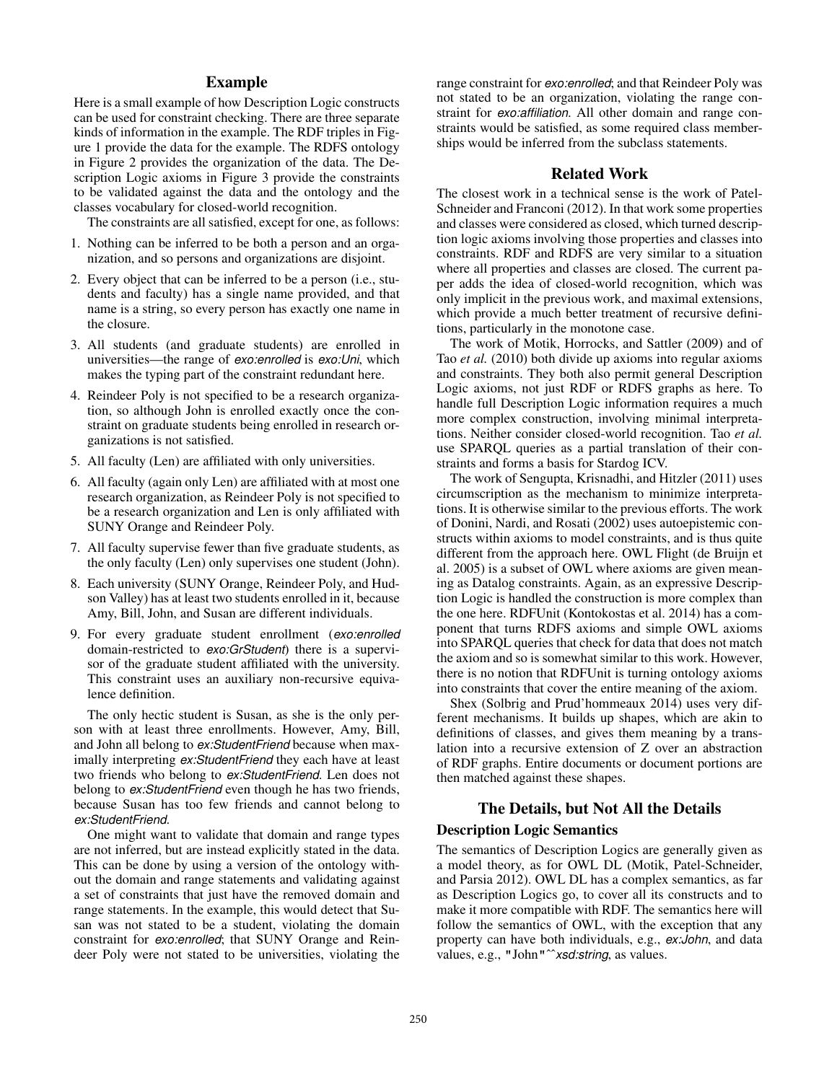### Example

Here is a small example of how Description Logic constructs can be used for constraint checking. There are three separate kinds of information in the example. The RDF triples in Figure 1 provide the data for the example. The RDFS ontology in Figure 2 provides the organization of the data. The Description Logic axioms in Figure 3 provide the constraints to be validated against the data and the ontology and the classes vocabulary for closed-world recognition.

The constraints are all satisfied, except for one, as follows:

- 1. Nothing can be inferred to be both a person and an organization, and so persons and organizations are disjoint.
- 2. Every object that can be inferred to be a person (i.e., students and faculty) has a single name provided, and that name is a string, so every person has exactly one name in the closure.
- 3. All students (and graduate students) are enrolled in universities—the range of *exo:enrolled* is *exo:Uni*, which makes the typing part of the constraint redundant here.
- 4. Reindeer Poly is not specified to be a research organization, so although John is enrolled exactly once the constraint on graduate students being enrolled in research organizations is not satisfied.
- 5. All faculty (Len) are affiliated with only universities.
- 6. All faculty (again only Len) are affiliated with at most one research organization, as Reindeer Poly is not specified to be a research organization and Len is only affiliated with SUNY Orange and Reindeer Poly.
- 7. All faculty supervise fewer than five graduate students, as the only faculty (Len) only supervises one student (John).
- 8. Each university (SUNY Orange, Reindeer Poly, and Hudson Valley) has at least two students enrolled in it, because Amy, Bill, John, and Susan are different individuals.
- 9. For every graduate student enrollment (*exo:enrolled* domain-restricted to *exo:GrStudent*) there is a supervisor of the graduate student affiliated with the university. This constraint uses an auxiliary non-recursive equivalence definition.

The only hectic student is Susan, as she is the only person with at least three enrollments. However, Amy, Bill, and John all belong to *ex:StudentFriend* because when maximally interpreting *ex:StudentFriend* they each have at least two friends who belong to *ex:StudentFriend*. Len does not belong to *ex:StudentFriend* even though he has two friends, because Susan has too few friends and cannot belong to *ex:StudentFriend*.

One might want to validate that domain and range types are not inferred, but are instead explicitly stated in the data. This can be done by using a version of the ontology without the domain and range statements and validating against a set of constraints that just have the removed domain and range statements. In the example, this would detect that Susan was not stated to be a student, violating the domain constraint for *exo:enrolled*; that SUNY Orange and Reindeer Poly were not stated to be universities, violating the

range constraint for *exo:enrolled*; and that Reindeer Poly was not stated to be an organization, violating the range constraint for *exo:affiliation*. All other domain and range constraints would be satisfied, as some required class memberships would be inferred from the subclass statements.

### Related Work

The closest work in a technical sense is the work of Patel-Schneider and Franconi (2012). In that work some properties and classes were considered as closed, which turned description logic axioms involving those properties and classes into constraints. RDF and RDFS are very similar to a situation where all properties and classes are closed. The current paper adds the idea of closed-world recognition, which was only implicit in the previous work, and maximal extensions, which provide a much better treatment of recursive definitions, particularly in the monotone case.

The work of Motik, Horrocks, and Sattler (2009) and of Tao *et al.* (2010) both divide up axioms into regular axioms and constraints. They both also permit general Description Logic axioms, not just RDF or RDFS graphs as here. To handle full Description Logic information requires a much more complex construction, involving minimal interpretations. Neither consider closed-world recognition. Tao *et al.* use SPARQL queries as a partial translation of their constraints and forms a basis for Stardog ICV.

The work of Sengupta, Krisnadhi, and Hitzler (2011) uses circumscription as the mechanism to minimize interpretations. It is otherwise similar to the previous efforts. The work of Donini, Nardi, and Rosati (2002) uses autoepistemic constructs within axioms to model constraints, and is thus quite different from the approach here. OWL Flight (de Bruijn et al. 2005) is a subset of OWL where axioms are given meaning as Datalog constraints. Again, as an expressive Description Logic is handled the construction is more complex than the one here. RDFUnit (Kontokostas et al. 2014) has a component that turns RDFS axioms and simple OWL axioms into SPARQL queries that check for data that does not match the axiom and so is somewhat similar to this work. However, there is no notion that RDFUnit is turning ontology axioms into constraints that cover the entire meaning of the axiom.

Shex (Solbrig and Prud'hommeaux 2014) uses very different mechanisms. It builds up shapes, which are akin to definitions of classes, and gives them meaning by a translation into a recursive extension of Z over an abstraction of RDF graphs. Entire documents or document portions are then matched against these shapes.

## The Details, but Not All the Details Description Logic Semantics

The semantics of Description Logics are generally given as a model theory, as for OWL DL (Motik, Patel-Schneider, and Parsia 2012). OWL DL has a complex semantics, as far as Description Logics go, to cover all its constructs and to make it more compatible with RDF. The semantics here will follow the semantics of OWL, with the exception that any property can have both individuals, e.g., *ex:John*, and data values, e.g., "John"<sup>^</sup>*xsd:string*, as values.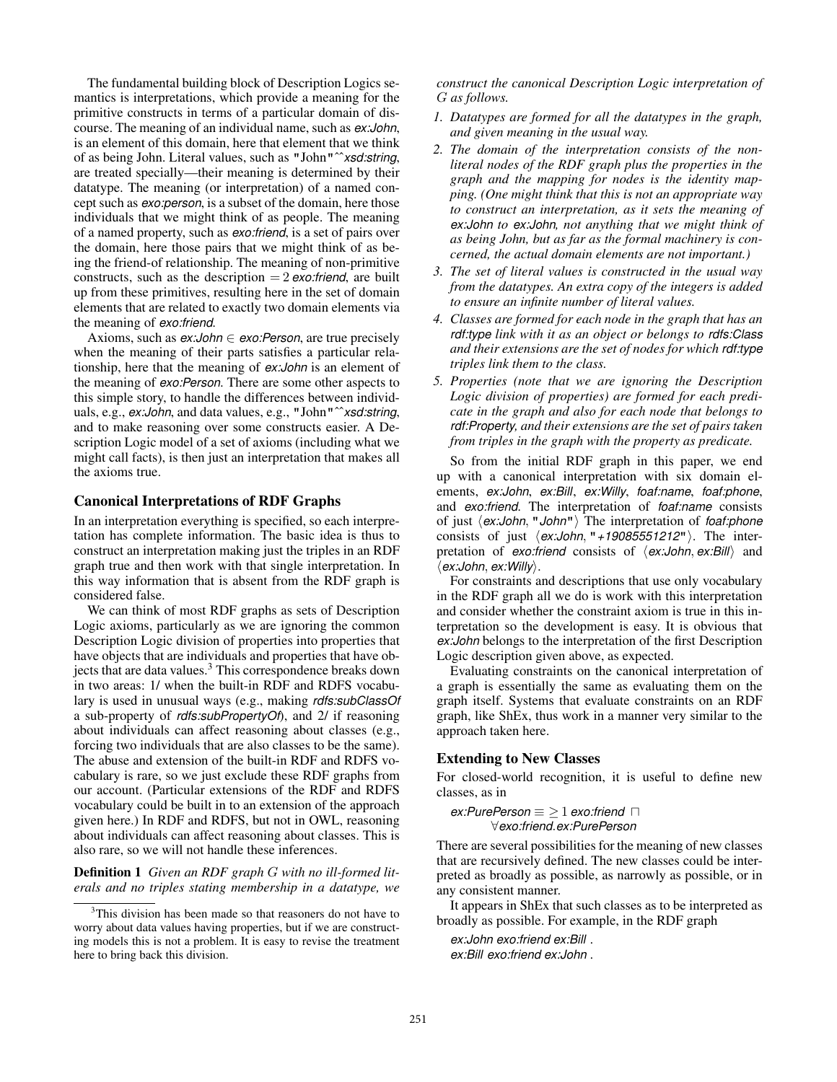The fundamental building block of Description Logics semantics is interpretations, which provide a meaning for the primitive constructs in terms of a particular domain of discourse. The meaning of an individual name, such as *ex:John*, is an element of this domain, here that element that we think of as being John. Literal values, such as "John"ˆˆ*xsd:string*, are treated specially—their meaning is determined by their datatype. The meaning (or interpretation) of a named concept such as *exo:person*, is a subset of the domain, here those individuals that we might think of as people. The meaning of a named property, such as *exo:friend*, is a set of pairs over the domain, here those pairs that we might think of as being the friend-of relationship. The meaning of non-primitive constructs, such as the description = 2 *exo:friend*, are built up from these primitives, resulting here in the set of domain elements that are related to exactly two domain elements via the meaning of *exo:friend*.

Axioms, such as *ex:John* ∈ *exo:Person*, are true precisely when the meaning of their parts satisfies a particular relationship, here that the meaning of *ex:John* is an element of the meaning of *exo:Person*. There are some other aspects to this simple story, to handle the differences between individuals, e.g., *ex:John*, and data values, e.g., "John"ˆˆ*xsd:string*, and to make reasoning over some constructs easier. A Description Logic model of a set of axioms (including what we might call facts), is then just an interpretation that makes all the axioms true.

#### Canonical Interpretations of RDF Graphs

In an interpretation everything is specified, so each interpretation has complete information. The basic idea is thus to construct an interpretation making just the triples in an RDF graph true and then work with that single interpretation. In this way information that is absent from the RDF graph is considered false.

We can think of most RDF graphs as sets of Description Logic axioms, particularly as we are ignoring the common Description Logic division of properties into properties that have objects that are individuals and properties that have objects that are data values.<sup>3</sup> This correspondence breaks down in two areas: 1/ when the built-in RDF and RDFS vocabulary is used in unusual ways (e.g., making *rdfs:subClassOf* a sub-property of *rdfs:subPropertyOf*), and 2/ if reasoning about individuals can affect reasoning about classes (e.g., forcing two individuals that are also classes to be the same). The abuse and extension of the built-in RDF and RDFS vocabulary is rare, so we just exclude these RDF graphs from our account. (Particular extensions of the RDF and RDFS vocabulary could be built in to an extension of the approach given here.) In RDF and RDFS, but not in OWL, reasoning about individuals can affect reasoning about classes. This is also rare, so we will not handle these inferences.

Definition 1 *Given an RDF graph* G *with no ill-formed literals and no triples stating membership in a datatype, we* *construct the canonical Description Logic interpretation of* G *as follows.*

- *1. Datatypes are formed for all the datatypes in the graph, and given meaning in the usual way.*
- *2. The domain of the interpretation consists of the nonliteral nodes of the RDF graph plus the properties in the graph and the mapping for nodes is the identity mapping. (One might think that this is not an appropriate way to construct an interpretation, as it sets the meaning of ex:John to ex:John, not anything that we might think of as being John, but as far as the formal machinery is concerned, the actual domain elements are not important.)*
- *3. The set of literal values is constructed in the usual way from the datatypes. An extra copy of the integers is added to ensure an infinite number of literal values.*
- *4. Classes are formed for each node in the graph that has an rdf:type link with it as an object or belongs to rdfs:Class and their extensions are the set of nodes for which rdf:type triples link them to the class.*
- *5. Properties (note that we are ignoring the Description Logic division of properties) are formed for each predicate in the graph and also for each node that belongs to rdf:Property, and their extensions are the set of pairs taken from triples in the graph with the property as predicate.*

So from the initial RDF graph in this paper, we end up with a canonical interpretation with six domain elements, *ex:John*, *ex:Bill*, *ex:Willy*, *foaf:name*, *foaf:phone*, and *exo:friend*. The interpretation of *foaf:name* consists of just  $\langle ex:John, "John"\rangle$  The interpretation of *foaf:phone* consists of just *(ex:John*, "*+19085551212*"). The interpretation of *exo:friend* consists of  $\langle ex:John, ex:Bill \rangle$  and h*ex:John*, *ex:Willy*i.

For constraints and descriptions that use only vocabulary in the RDF graph all we do is work with this interpretation and consider whether the constraint axiom is true in this interpretation so the development is easy. It is obvious that *ex:John* belongs to the interpretation of the first Description Logic description given above, as expected.

Evaluating constraints on the canonical interpretation of a graph is essentially the same as evaluating them on the graph itself. Systems that evaluate constraints on an RDF graph, like ShEx, thus work in a manner very similar to the approach taken here.

### Extending to New Classes

For closed-world recognition, it is useful to define new classes, as in

 $ex: PurePerson \equiv 21 ex:TimePerson \equiv 1$ ∀*exo:friend*.*ex:PurePerson*

There are several possibilities for the meaning of new classes that are recursively defined. The new classes could be interpreted as broadly as possible, as narrowly as possible, or in any consistent manner.

It appears in ShEx that such classes as to be interpreted as broadly as possible. For example, in the RDF graph

*ex:John exo:friend ex:Bill* . *ex:Bill exo:friend ex:John* .

<sup>&</sup>lt;sup>3</sup>This division has been made so that reasoners do not have to worry about data values having properties, but if we are constructing models this is not a problem. It is easy to revise the treatment here to bring back this division.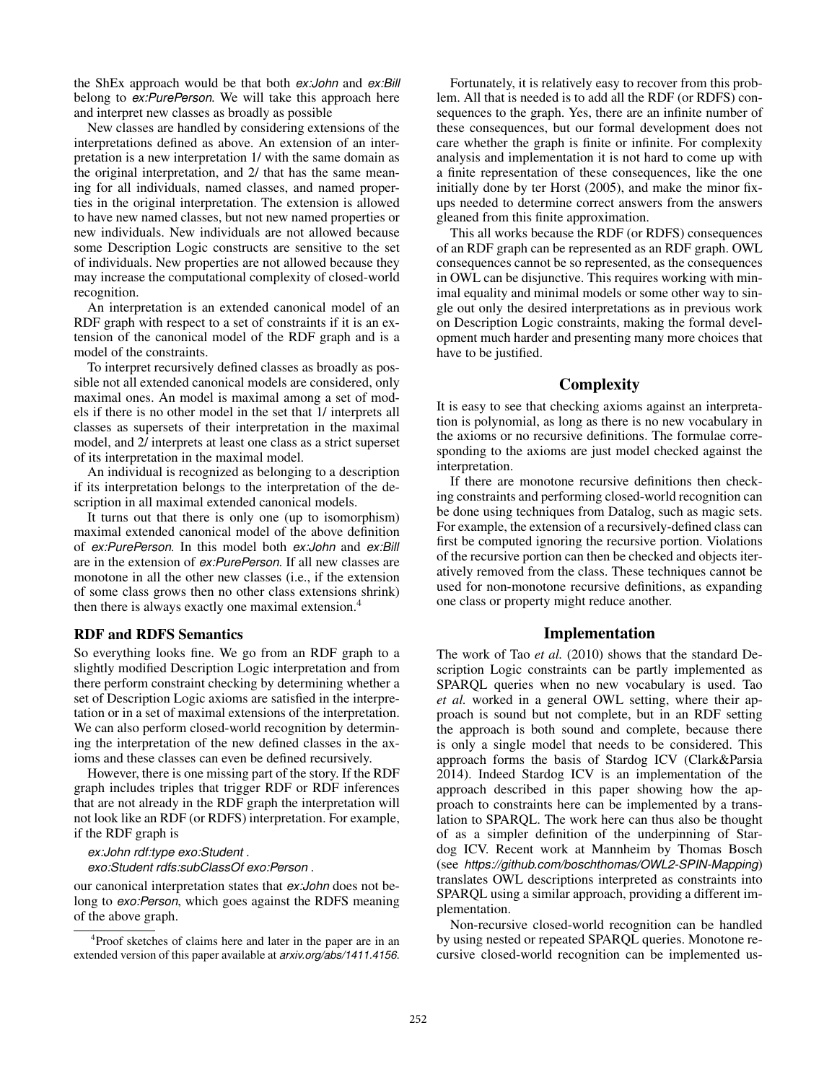the ShEx approach would be that both *ex:John* and *ex:Bill* belong to *ex:PurePerson*. We will take this approach here and interpret new classes as broadly as possible

New classes are handled by considering extensions of the interpretations defined as above. An extension of an interpretation is a new interpretation 1/ with the same domain as the original interpretation, and 2/ that has the same meaning for all individuals, named classes, and named properties in the original interpretation. The extension is allowed to have new named classes, but not new named properties or new individuals. New individuals are not allowed because some Description Logic constructs are sensitive to the set of individuals. New properties are not allowed because they may increase the computational complexity of closed-world recognition.

An interpretation is an extended canonical model of an RDF graph with respect to a set of constraints if it is an extension of the canonical model of the RDF graph and is a model of the constraints.

To interpret recursively defined classes as broadly as possible not all extended canonical models are considered, only maximal ones. An model is maximal among a set of models if there is no other model in the set that 1/ interprets all classes as supersets of their interpretation in the maximal model, and 2/ interprets at least one class as a strict superset of its interpretation in the maximal model.

An individual is recognized as belonging to a description if its interpretation belongs to the interpretation of the description in all maximal extended canonical models.

It turns out that there is only one (up to isomorphism) maximal extended canonical model of the above definition of *ex:PurePerson*. In this model both *ex:John* and *ex:Bill* are in the extension of *ex:PurePerson*. If all new classes are monotone in all the other new classes (i.e., if the extension of some class grows then no other class extensions shrink) then there is always exactly one maximal extension.<sup>4</sup>

#### RDF and RDFS Semantics

So everything looks fine. We go from an RDF graph to a slightly modified Description Logic interpretation and from there perform constraint checking by determining whether a set of Description Logic axioms are satisfied in the interpretation or in a set of maximal extensions of the interpretation. We can also perform closed-world recognition by determining the interpretation of the new defined classes in the axioms and these classes can even be defined recursively.

However, there is one missing part of the story. If the RDF graph includes triples that trigger RDF or RDF inferences that are not already in the RDF graph the interpretation will not look like an RDF (or RDFS) interpretation. For example, if the RDF graph is

*ex:John rdf:type exo:Student* . *exo:Student rdfs:subClassOf exo:Person* .

our canonical interpretation states that *ex:John* does not belong to *exo:Person*, which goes against the RDFS meaning of the above graph.

Fortunately, it is relatively easy to recover from this problem. All that is needed is to add all the RDF (or RDFS) consequences to the graph. Yes, there are an infinite number of these consequences, but our formal development does not care whether the graph is finite or infinite. For complexity analysis and implementation it is not hard to come up with a finite representation of these consequences, like the one initially done by ter Horst (2005), and make the minor fixups needed to determine correct answers from the answers gleaned from this finite approximation.

This all works because the RDF (or RDFS) consequences of an RDF graph can be represented as an RDF graph. OWL consequences cannot be so represented, as the consequences in OWL can be disjunctive. This requires working with minimal equality and minimal models or some other way to single out only the desired interpretations as in previous work on Description Logic constraints, making the formal development much harder and presenting many more choices that have to be justified.

### **Complexity**

It is easy to see that checking axioms against an interpretation is polynomial, as long as there is no new vocabulary in the axioms or no recursive definitions. The formulae corresponding to the axioms are just model checked against the interpretation.

If there are monotone recursive definitions then checking constraints and performing closed-world recognition can be done using techniques from Datalog, such as magic sets. For example, the extension of a recursively-defined class can first be computed ignoring the recursive portion. Violations of the recursive portion can then be checked and objects iteratively removed from the class. These techniques cannot be used for non-monotone recursive definitions, as expanding one class or property might reduce another.

### Implementation

The work of Tao *et al.* (2010) shows that the standard Description Logic constraints can be partly implemented as SPARQL queries when no new vocabulary is used. Tao *et al.* worked in a general OWL setting, where their approach is sound but not complete, but in an RDF setting the approach is both sound and complete, because there is only a single model that needs to be considered. This approach forms the basis of Stardog ICV (Clark&Parsia 2014). Indeed Stardog ICV is an implementation of the approach described in this paper showing how the approach to constraints here can be implemented by a translation to SPARQL. The work here can thus also be thought of as a simpler definition of the underpinning of Stardog ICV. Recent work at Mannheim by Thomas Bosch (see *https://github.com/boschthomas/OWL2-SPIN-Mapping*) translates OWL descriptions interpreted as constraints into SPARQL using a similar approach, providing a different implementation.

Non-recursive closed-world recognition can be handled by using nested or repeated SPARQL queries. Monotone recursive closed-world recognition can be implemented us-

<sup>4</sup> Proof sketches of claims here and later in the paper are in an extended version of this paper available at *arxiv.org/abs/1411.4156*.